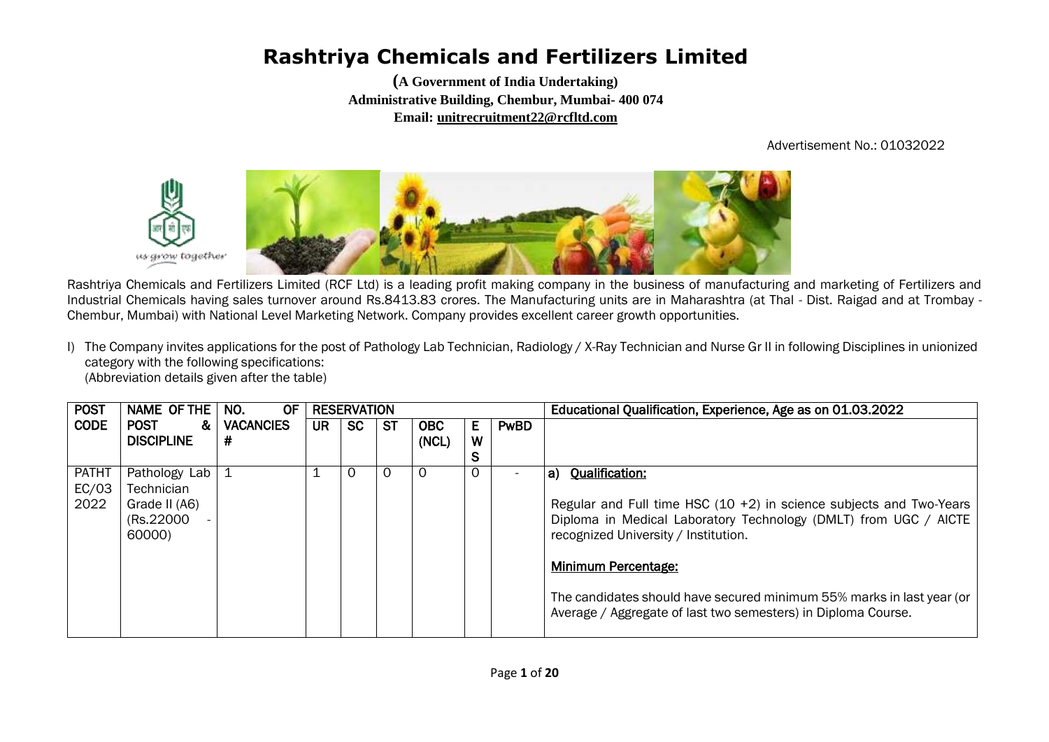**(A Government of India Undertaking) Administrative Building, Chembur, Mumbai- 400 074 Email: unitrecruitment22@rcfltd.com**

Advertisement No.: 01032022



Rashtriya Chemicals and Fertilizers Limited (RCF Ltd) is a leading profit making company in the business of manufacturing and marketing of Fertilizers and Industrial Chemicals having sales turnover around Rs.8413.83 crores. The Manufacturing units are in Maharashtra (at Thal - Dist. Raigad and at Trombay - Chembur, Mumbai) with National Level Marketing Network. Company provides excellent career growth opportunities.

I) The Company invites applications for the post of Pathology Lab Technician, Radiology / X-Ray Technician and Nurse Gr II in following Disciplines in unionized category with the following specifications: (Abbreviation details given after the table)

| <b>POST</b>                   | NAME OF THE                                                          | ΟF<br>NO.             |     | <b>RESERVATION</b> |           |                     |             |             | Educational Qualification, Experience, Age as on 01.03.2022                                                                                                                                                                                                                                                                                                                        |
|-------------------------------|----------------------------------------------------------------------|-----------------------|-----|--------------------|-----------|---------------------|-------------|-------------|------------------------------------------------------------------------------------------------------------------------------------------------------------------------------------------------------------------------------------------------------------------------------------------------------------------------------------------------------------------------------------|
| <b>CODE</b>                   | <b>POST</b><br>&<br><b>DISCIPLINE</b>                                | <b>VACANCIES</b><br># | UR. | <b>SC</b>          | <b>ST</b> | <b>OBC</b><br>(NCL) | Е<br>W<br>S | <b>PwBD</b> |                                                                                                                                                                                                                                                                                                                                                                                    |
| <b>PATHT</b><br>EC/03<br>2022 | Pathology Lab<br>Technician<br>Grade II (A6)<br>(Rs.22000)<br>60000) |                       |     | 0                  | 0         | O                   | 0           |             | <b>Qualification:</b><br>a)<br>Regular and Full time HSC $(10 + 2)$ in science subjects and Two-Years<br>Diploma in Medical Laboratory Technology (DMLT) from UGC / AICTE<br>recognized University / Institution.<br>Minimum Percentage:<br>The candidates should have secured minimum 55% marks in last year (or<br>Average / Aggregate of last two semesters) in Diploma Course. |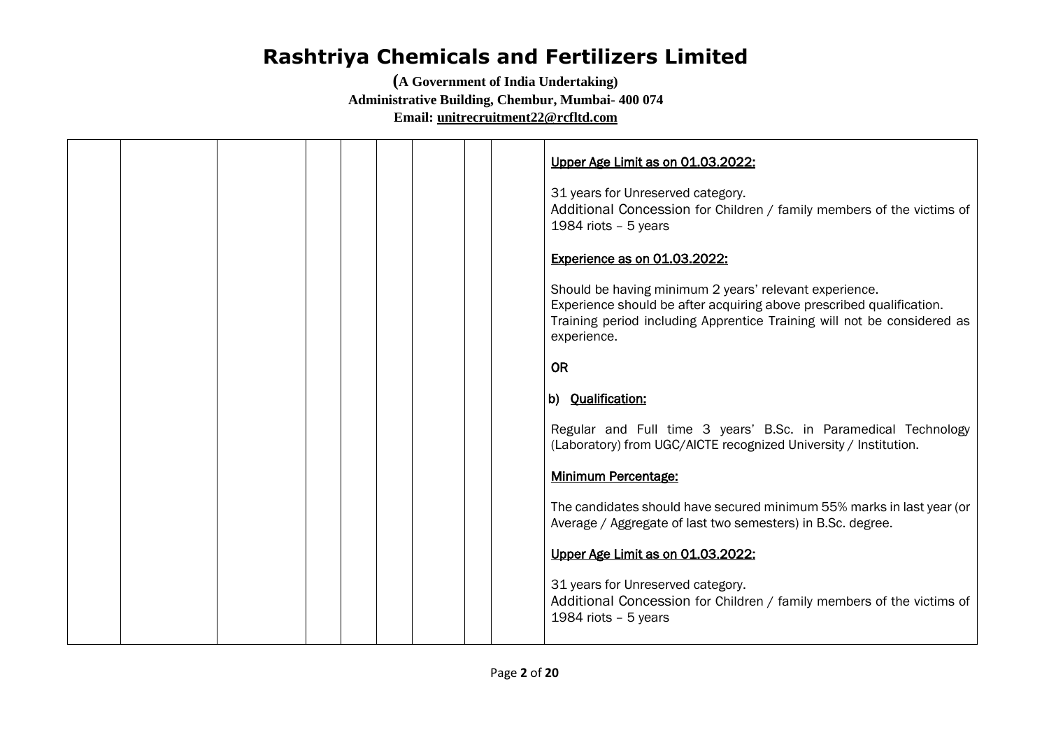|  |  |  | Upper Age Limit as on 01.03.2022:                                                                                                                                                                                        |
|--|--|--|--------------------------------------------------------------------------------------------------------------------------------------------------------------------------------------------------------------------------|
|  |  |  | 31 years for Unreserved category.<br>Additional Concession for Children / family members of the victims of<br>1984 riots - 5 years                                                                                       |
|  |  |  | <b>Experience as on 01.03.2022:</b>                                                                                                                                                                                      |
|  |  |  | Should be having minimum 2 years' relevant experience.<br>Experience should be after acquiring above prescribed qualification.<br>Training period including Apprentice Training will not be considered as<br>experience. |
|  |  |  | <b>OR</b>                                                                                                                                                                                                                |
|  |  |  | b) Qualification:                                                                                                                                                                                                        |
|  |  |  | Regular and Full time 3 years' B.Sc. in Paramedical Technology<br>(Laboratory) from UGC/AICTE recognized University / Institution.                                                                                       |
|  |  |  | <b>Minimum Percentage:</b>                                                                                                                                                                                               |
|  |  |  | The candidates should have secured minimum 55% marks in last year (or<br>Average / Aggregate of last two semesters) in B.Sc. degree.                                                                                     |
|  |  |  | Upper Age Limit as on 01.03.2022:                                                                                                                                                                                        |
|  |  |  | 31 years for Unreserved category.<br>Additional Concession for Children / family members of the victims of<br>1984 riots - 5 years                                                                                       |
|  |  |  |                                                                                                                                                                                                                          |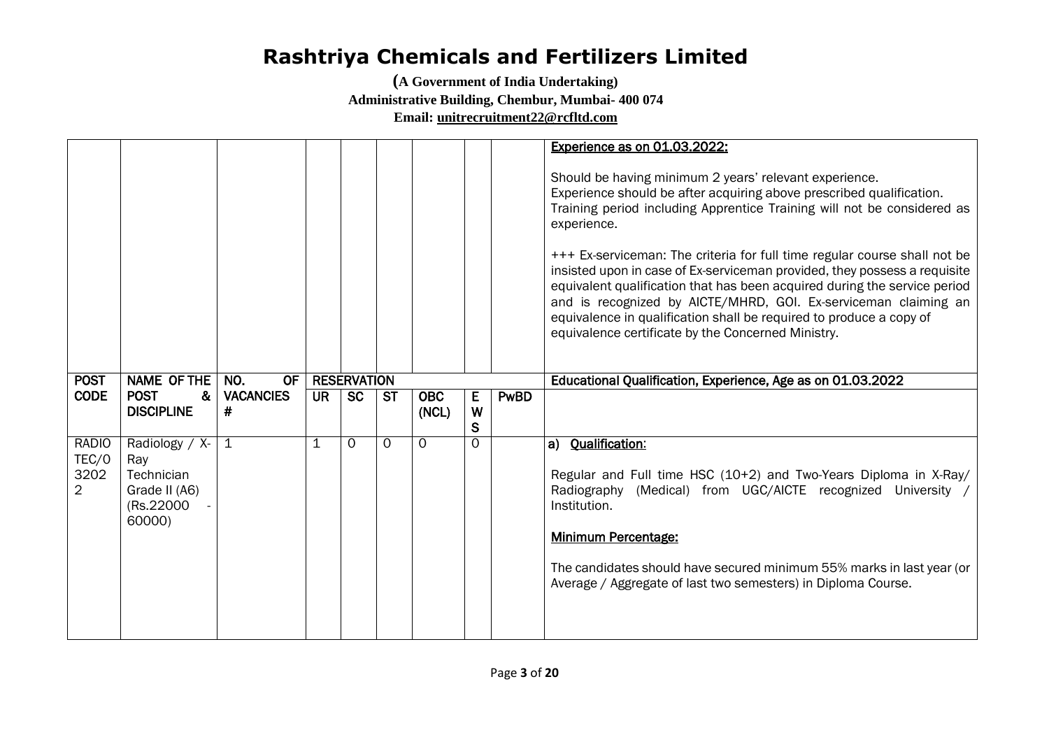|                                                 |                                                                              |                       |                          |                    |                                   |                     |             |             | <b>Experience as on 01.03.2022:</b>                                                                                                                                                                                                                                                                                                                                                                                                                                                                                                                                                                                                                             |
|-------------------------------------------------|------------------------------------------------------------------------------|-----------------------|--------------------------|--------------------|-----------------------------------|---------------------|-------------|-------------|-----------------------------------------------------------------------------------------------------------------------------------------------------------------------------------------------------------------------------------------------------------------------------------------------------------------------------------------------------------------------------------------------------------------------------------------------------------------------------------------------------------------------------------------------------------------------------------------------------------------------------------------------------------------|
|                                                 |                                                                              |                       |                          |                    |                                   |                     |             |             | Should be having minimum 2 years' relevant experience.<br>Experience should be after acquiring above prescribed qualification.<br>Training period including Apprentice Training will not be considered as<br>experience.<br>+++ Ex-serviceman: The criteria for full time regular course shall not be<br>insisted upon in case of Ex-serviceman provided, they possess a requisite<br>equivalent qualification that has been acquired during the service period<br>and is recognized by AICTE/MHRD, GOI. Ex-serviceman claiming an<br>equivalence in qualification shall be required to produce a copy of<br>equivalence certificate by the Concerned Ministry. |
| <b>POST</b>                                     | <b>NAME OF THE</b>                                                           | NO.<br>OF             |                          | <b>RESERVATION</b> |                                   |                     |             |             | Educational Qualification, Experience, Age as on 01.03.2022                                                                                                                                                                                                                                                                                                                                                                                                                                                                                                                                                                                                     |
| <b>CODE</b>                                     | <b>POST</b><br>&<br><b>DISCIPLINE</b>                                        | <b>VACANCIES</b><br># | $\overline{\mathsf{UR}}$ | $\overline{SC}$    | $\overline{\mathsf{S}\mathsf{T}}$ | <b>OBC</b><br>(NCL) | E<br>W<br>S | <b>PwBD</b> |                                                                                                                                                                                                                                                                                                                                                                                                                                                                                                                                                                                                                                                                 |
| <b>RADIO</b><br>TEC/0<br>3202<br>$\overline{2}$ | Radiology / X-<br>Ray<br>Technician<br>Grade II (A6)<br>(Rs.22000)<br>60000) | $\mathbf{1}$          | $\mathbf 1$              | $\mathbf 0$        | 0                                 | 0                   | $\Omega$    |             | a) Qualification:<br>Regular and Full time HSC (10+2) and Two-Years Diploma in X-Ray/<br>Radiography (Medical) from UGC/AICTE recognized University /<br>Institution.<br><b>Minimum Percentage:</b><br>The candidates should have secured minimum 55% marks in last year (or<br>Average / Aggregate of last two semesters) in Diploma Course.                                                                                                                                                                                                                                                                                                                   |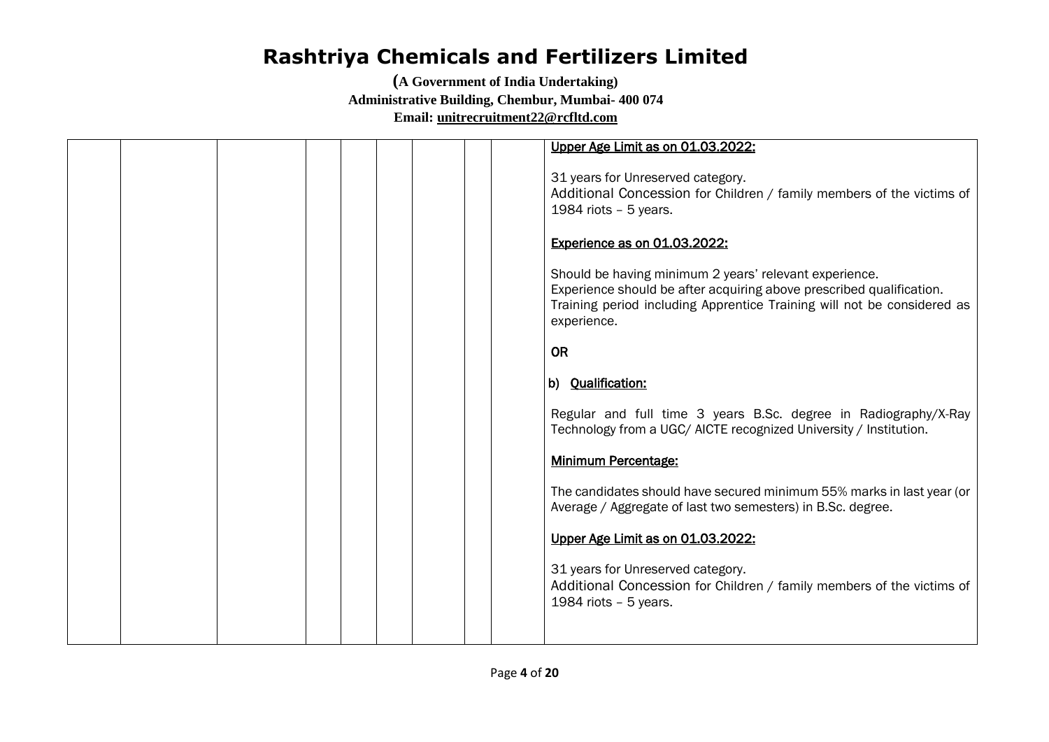|  | Upper Age Limit as on 01.03.2022:                                                                                                                                                                                        |
|--|--------------------------------------------------------------------------------------------------------------------------------------------------------------------------------------------------------------------------|
|  | 31 years for Unreserved category.<br>Additional Concession for Children / family members of the victims of<br>1984 riots $-5$ years.                                                                                     |
|  | Experience as on 01.03.2022:                                                                                                                                                                                             |
|  | Should be having minimum 2 years' relevant experience.<br>Experience should be after acquiring above prescribed qualification.<br>Training period including Apprentice Training will not be considered as<br>experience. |
|  | <b>OR</b>                                                                                                                                                                                                                |
|  | b) Qualification:                                                                                                                                                                                                        |
|  | Regular and full time 3 years B.Sc. degree in Radiography/X-Ray<br>Technology from a UGC/ AICTE recognized University / Institution.                                                                                     |
|  | <b>Minimum Percentage:</b>                                                                                                                                                                                               |
|  | The candidates should have secured minimum 55% marks in last year (or<br>Average / Aggregate of last two semesters) in B.Sc. degree.                                                                                     |
|  | Upper Age Limit as on 01.03.2022:                                                                                                                                                                                        |
|  | 31 years for Unreserved category.<br>Additional Concession for Children / family members of the victims of<br>1984 riots $-5$ years.                                                                                     |
|  |                                                                                                                                                                                                                          |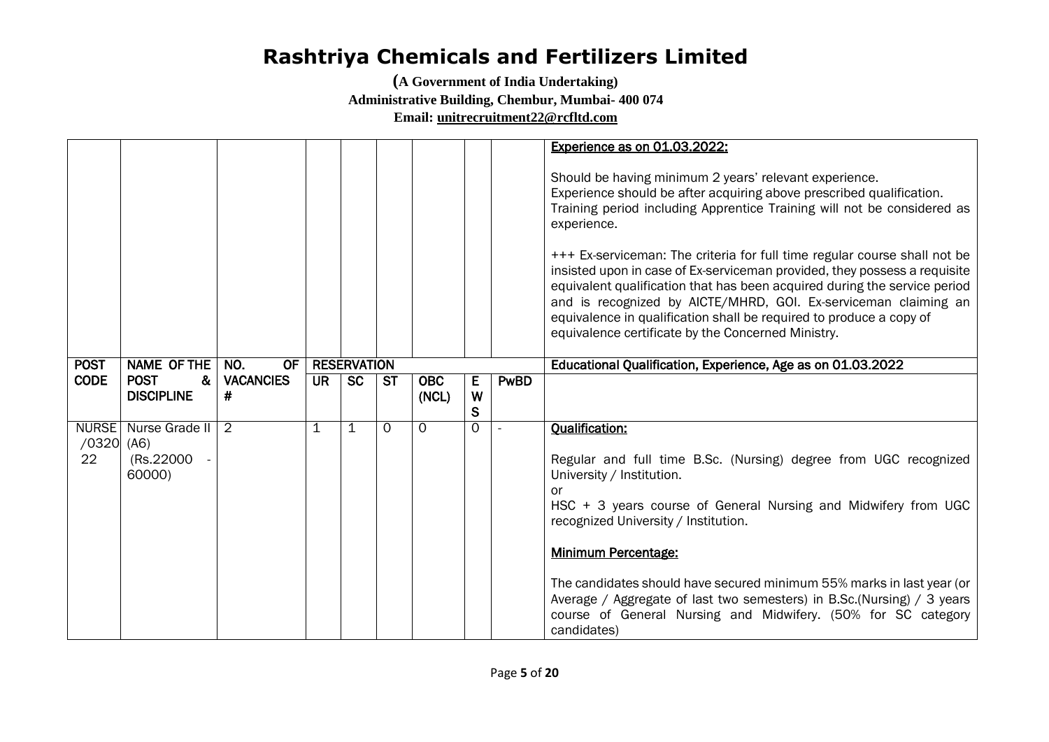|                             |                                                |                          |                          |                    |           |                            |             |             | <b>Experience as on 01.03.2022:</b><br>Should be having minimum 2 years' relevant experience.<br>Experience should be after acquiring above prescribed qualification.<br>Training period including Apprentice Training will not be considered as<br>experience.<br>+++ Ex-serviceman: The criteria for full time regular course shall not be<br>insisted upon in case of Ex-serviceman provided, they possess a requisite<br>equivalent qualification that has been acquired during the service period<br>and is recognized by AICTE/MHRD, GOI. Ex-serviceman claiming an<br>equivalence in qualification shall be required to produce a copy of<br>equivalence certificate by the Concerned Ministry. |
|-----------------------------|------------------------------------------------|--------------------------|--------------------------|--------------------|-----------|----------------------------|-------------|-------------|--------------------------------------------------------------------------------------------------------------------------------------------------------------------------------------------------------------------------------------------------------------------------------------------------------------------------------------------------------------------------------------------------------------------------------------------------------------------------------------------------------------------------------------------------------------------------------------------------------------------------------------------------------------------------------------------------------|
| <b>POST</b>                 | <b>NAME OF THE</b>                             | NO.<br><b>OF</b>         |                          | <b>RESERVATION</b> |           |                            |             |             | Educational Qualification, Experience, Age as on 01.03.2022                                                                                                                                                                                                                                                                                                                                                                                                                                                                                                                                                                                                                                            |
| <b>CODE</b>                 | <b>POST</b><br>&<br><b>DISCIPLINE</b>          | <b>VACANCIES</b><br>$\#$ | $\overline{\mathsf{UR}}$ | $\overline{SC}$    | <b>ST</b> | $\overline{O}$ BC<br>(NCL) | Е<br>W<br>S | <b>PwBD</b> |                                                                                                                                                                                                                                                                                                                                                                                                                                                                                                                                                                                                                                                                                                        |
| <b>NURSE</b><br>/0320<br>22 | Nurse Grade II<br>(AG)<br>(Rs.22000)<br>60000) | $\overline{2}$           | $\mathbf{1}$             | 1                  | $\Omega$  | 0                          | $\Omega$    |             | <b>Qualification:</b><br>Regular and full time B.Sc. (Nursing) degree from UGC recognized<br>University / Institution.<br><b>or</b><br>HSC + 3 years course of General Nursing and Midwifery from UGC<br>recognized University / Institution.<br><b>Minimum Percentage:</b><br>The candidates should have secured minimum 55% marks in last year (or<br>Average / Aggregate of last two semesters) in B.Sc. (Nursing) / 3 years<br>course of General Nursing and Midwifery. (50% for SC category<br>candidates)                                                                                                                                                                                        |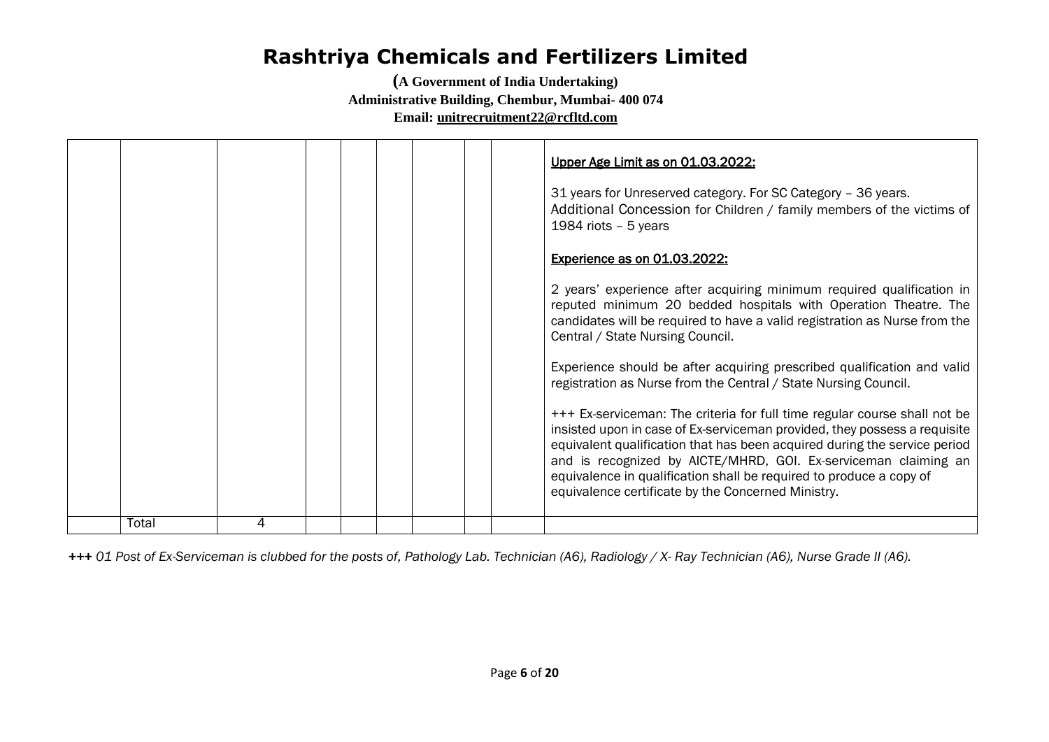**(A Government of India Undertaking) Administrative Building, Chembur, Mumbai- 400 074 Email: unitrecruitment22@rcfltd.com**

|       |   |  |  |  | Upper Age Limit as on 01.03.2022:<br>31 years for Unreserved category. For SC Category - 36 years.<br>Additional Concession for Children / family members of the victims of<br>1984 riots $-5$ years<br><b>Experience as on 01.03.2022:</b><br>2 years' experience after acquiring minimum required qualification in<br>reputed minimum 20 bedded hospitals with Operation Theatre. The<br>candidates will be required to have a valid registration as Nurse from the<br>Central / State Nursing Council.<br>Experience should be after acquiring prescribed qualification and valid<br>registration as Nurse from the Central / State Nursing Council.<br>+++ Ex-serviceman: The criteria for full time regular course shall not be<br>insisted upon in case of Ex-serviceman provided, they possess a requisite<br>equivalent qualification that has been acquired during the service period<br>and is recognized by AICTE/MHRD, GOI. Ex-serviceman claiming an |
|-------|---|--|--|--|-------------------------------------------------------------------------------------------------------------------------------------------------------------------------------------------------------------------------------------------------------------------------------------------------------------------------------------------------------------------------------------------------------------------------------------------------------------------------------------------------------------------------------------------------------------------------------------------------------------------------------------------------------------------------------------------------------------------------------------------------------------------------------------------------------------------------------------------------------------------------------------------------------------------------------------------------------------------|
|       |   |  |  |  | equivalence in qualification shall be required to produce a copy of<br>equivalence certificate by the Concerned Ministry.                                                                                                                                                                                                                                                                                                                                                                                                                                                                                                                                                                                                                                                                                                                                                                                                                                         |
| Total | 4 |  |  |  |                                                                                                                                                                                                                                                                                                                                                                                                                                                                                                                                                                                                                                                                                                                                                                                                                                                                                                                                                                   |

*++*+ *01 Post of Ex-Serviceman is clubbed for the posts of, Pathology Lab. Technician (A6), Radiology / X- Ray Technician (A6), Nurse Grade II (A6).*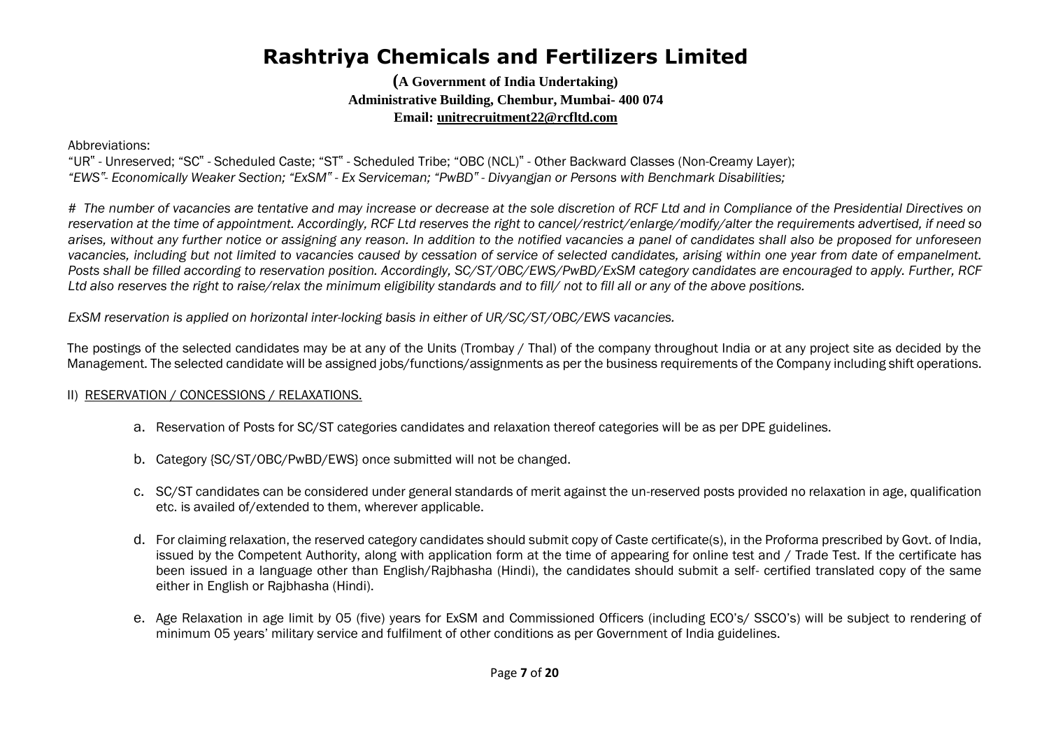**(A Government of India Undertaking) Administrative Building, Chembur, Mumbai- 400 074 Email: unitrecruitment22@rcfltd.com**

Abbreviations:

"UR" - Unreserved; "SC" - Scheduled Caste; "ST" - Scheduled Tribe; "OBC (NCL)" - Other Backward Classes (Non-Creamy Layer); *"EWS"- Economically Weaker Section; "ExSM" - Ex Serviceman; "PwBD" - Divyangjan or Persons with Benchmark Disabilities;* 

*# The number of vacancies are tentative and may increase or decrease at the sole discretion of RCF Ltd and in Compliance of the Presidential Directives on reservation at the time of appointment. Accordingly, RCF Ltd reserves the right to cancel/restrict/enlarge/modify/alter the requirements advertised, if need so arises, without any further notice or assigning any reason. In addition to the notified vacancies a panel of candidates shall also be proposed for unforeseen vacancies, including but not limited to vacancies caused by cessation of service of selected candidates, arising within one year from date of empanelment. Posts shall be filled according to reservation position. Accordingly, SC/ST/OBC/EWS/PwBD/ExSM category candidates are encouraged to apply. Further, RCF Ltd also reserves the right to raise/relax the minimum eligibility standards and to fill/ not to fill all or any of the above positions.* 

*ExSM reservation is applied on horizontal inter-locking basis in either of UR/SC/ST/OBC/EWS vacancies.* 

The postings of the selected candidates may be at any of the Units (Trombay / Thal) of the company throughout India or at any project site as decided by the Management. The selected candidate will be assigned jobs/functions/assignments as per the business requirements of the Company including shift operations.

#### II) RESERVATION / CONCESSIONS / RELAXATIONS.

- a. Reservation of Posts for SC/ST categories candidates and relaxation thereof categories will be as per DPE guidelines.
- b. Category {SC/ST/OBC/PwBD/EWS} once submitted will not be changed.
- c. SC/ST candidates can be considered under general standards of merit against the un-reserved posts provided no relaxation in age, qualification etc. is availed of/extended to them, wherever applicable.
- d. For claiming relaxation, the reserved category candidates should submit copy of Caste certificate(s), in the Proforma prescribed by Govt. of India, issued by the Competent Authority, along with application form at the time of appearing for online test and / Trade Test. If the certificate has been issued in a language other than English/Rajbhasha (Hindi), the candidates should submit a self- certified translated copy of the same either in English or Rajbhasha (Hindi).
- e. Age Relaxation in age limit by 05 (five) years for ExSM and Commissioned Officers (including ECO's/ SSCO's) will be subject to rendering of minimum 05 years' military service and fulfilment of other conditions as per Government of India guidelines.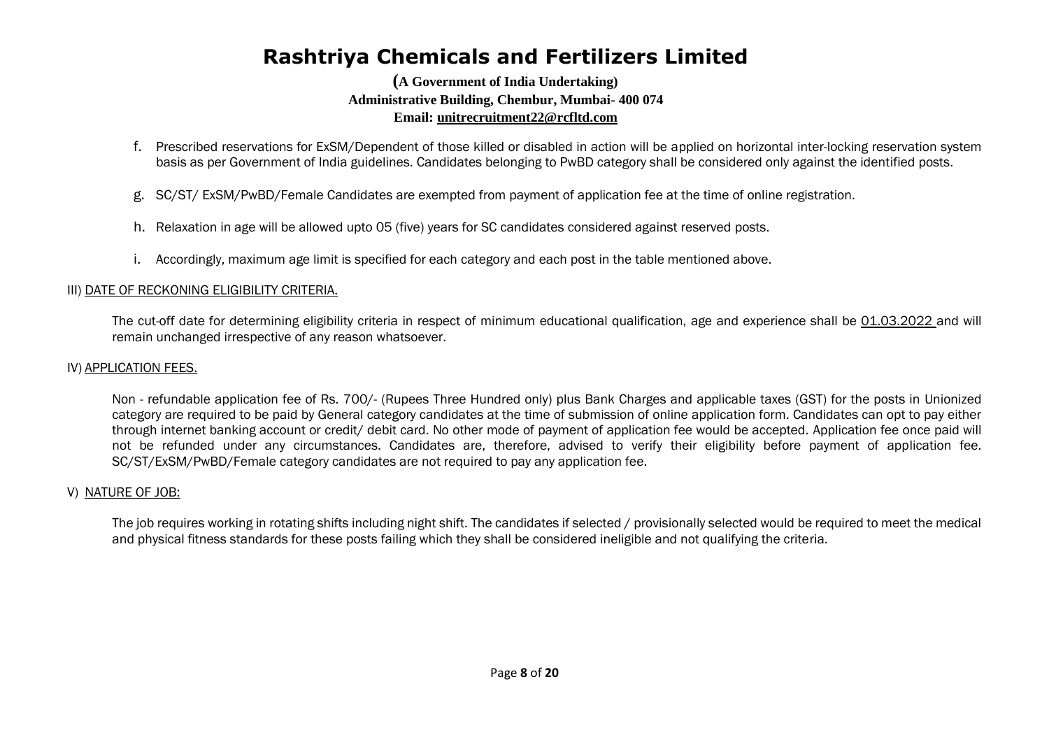### **(A Government of India Undertaking) Administrative Building, Chembur, Mumbai- 400 074 Email: unitrecruitment22@rcfltd.com**

- f. Prescribed reservations for ExSM/Dependent of those killed or disabled in action will be applied on horizontal inter-locking reservation system basis as per Government of India guidelines. Candidates belonging to PwBD category shall be considered only against the identified posts.
- g. SC/ST/ ExSM/PwBD/Female Candidates are exempted from payment of application fee at the time of online registration.
- h. Relaxation in age will be allowed upto 05 (five) years for SC candidates considered against reserved posts.
- i. Accordingly, maximum age limit is specified for each category and each post in the table mentioned above.

#### III) DATE OF RECKONING ELIGIBILITY CRITERIA.

The cut-off date for determining eligibility criteria in respect of minimum educational qualification, age and experience shall be 01.03.2022 and will remain unchanged irrespective of any reason whatsoever.

### IV) APPLICATION FEES.

Non - refundable application fee of Rs. 700/- (Rupees Three Hundred only) plus Bank Charges and applicable taxes (GST) for the posts in Unionized category are required to be paid by General category candidates at the time of submission of online application form. Candidates can opt to pay either through internet banking account or credit/ debit card. No other mode of payment of application fee would be accepted. Application fee once paid will not be refunded under any circumstances. Candidates are, therefore, advised to verify their eligibility before payment of application fee. SC/ST/ExSM/PwBD/Female category candidates are not required to pay any application fee.

### V) NATURE OF JOB:

The job requires working in rotating shifts including night shift. The candidates if selected / provisionally selected would be required to meet the medical and physical fitness standards for these posts failing which they shall be considered ineligible and not qualifying the criteria.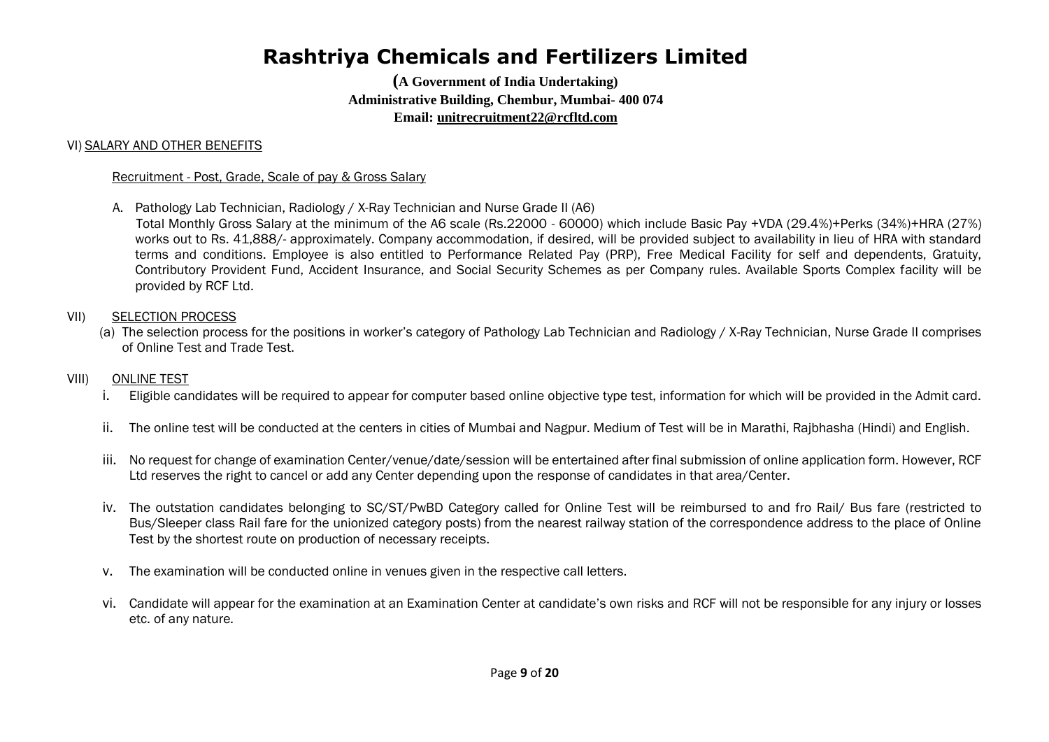**(A Government of India Undertaking) Administrative Building, Chembur, Mumbai- 400 074 Email: unitrecruitment22@rcfltd.com**

#### VI) SALARY AND OTHER BENEFITS

#### Recruitment - Post, Grade, Scale of pay & Gross Salary

A. Pathology Lab Technician, Radiology / X-Ray Technician and Nurse Grade II (A6)

 Total Monthly Gross Salary at the minimum of the A6 scale (Rs.22000 - 60000) which include Basic Pay +VDA (29.4%)+Perks (34%)+HRA (27%) works out to Rs. 41,888/- approximately. Company accommodation, if desired, will be provided subject to availability in lieu of HRA with standard terms and conditions. Employee is also entitled to Performance Related Pay (PRP), Free Medical Facility for self and dependents, Gratuity, Contributory Provident Fund, Accident Insurance, and Social Security Schemes as per Company rules. Available Sports Complex facility will be provided by RCF Ltd.

#### VII) SELECTION PROCESS

(a) The selection process for the positions in worker's category of Pathology Lab Technician and Radiology / X-Ray Technician, Nurse Grade II comprises of Online Test and Trade Test.

#### VIII) ONLINE TEST

- i. Eligible candidates will be required to appear for computer based online objective type test, information for which will be provided in the Admit card.
- ii. The online test will be conducted at the centers in cities of Mumbai and Nagpur. Medium of Test will be in Marathi, Rajbhasha (Hindi) and English.
- iii. No request for change of examination Center/venue/date/session will be entertained after final submission of online application form. However, RCF Ltd reserves the right to cancel or add any Center depending upon the response of candidates in that area/Center.
- iv. The outstation candidates belonging to SC/ST/PwBD Category called for Online Test will be reimbursed to and fro Rail/ Bus fare (restricted to Bus/Sleeper class Rail fare for the unionized category posts) from the nearest railway station of the correspondence address to the place of Online Test by the shortest route on production of necessary receipts.
- v. The examination will be conducted online in venues given in the respective call letters.
- vi. Candidate will appear for the examination at an Examination Center at candidate's own risks and RCF will not be responsible for any injury or losses etc. of any nature.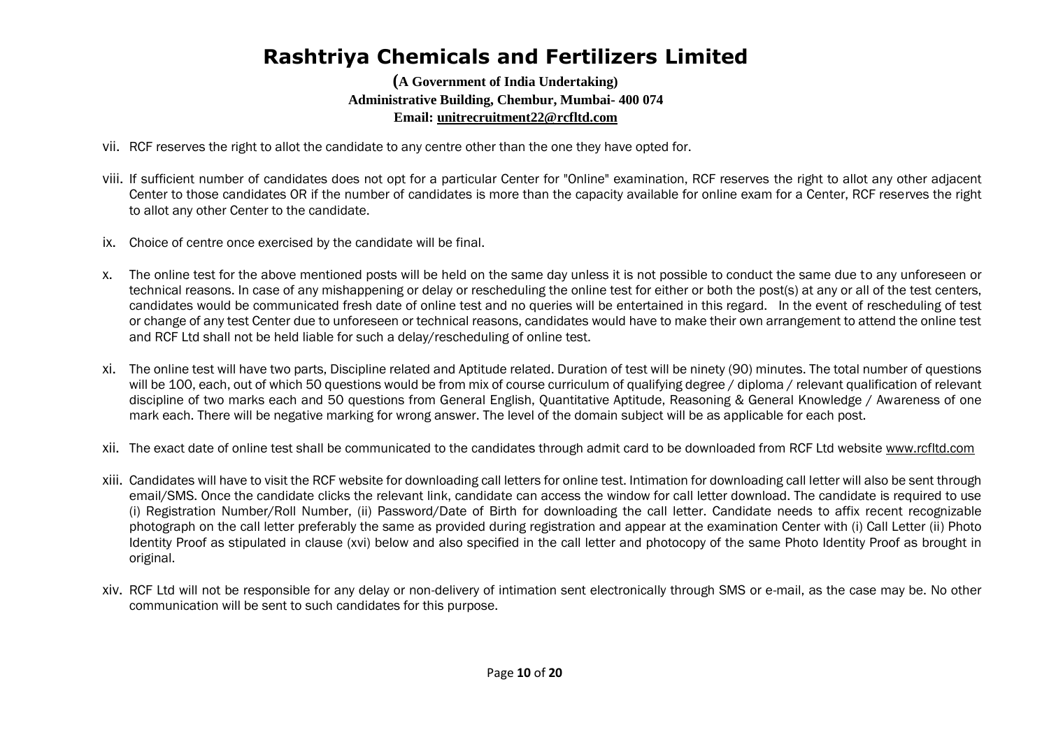- vii. RCF reserves the right to allot the candidate to any centre other than the one they have opted for.
- viii. If sufficient number of candidates does not opt for a particular Center for "Online" examination, RCF reserves the right to allot any other adjacent Center to those candidates OR if the number of candidates is more than the capacity available for online exam for a Center, RCF reserves the right to allot any other Center to the candidate.
- ix. Choice of centre once exercised by the candidate will be final.
- x. The online test for the above mentioned posts will be held on the same day unless it is not possible to conduct the same due to any unforeseen or technical reasons. In case of any mishappening or delay or rescheduling the online test for either or both the post(s) at any or all of the test centers, candidates would be communicated fresh date of online test and no queries will be entertained in this regard. In the event of rescheduling of test or change of any test Center due to unforeseen or technical reasons, candidates would have to make their own arrangement to attend the online test and RCF Ltd shall not be held liable for such a delay/rescheduling of online test.
- xi. The online test will have two parts, Discipline related and Aptitude related. Duration of test will be ninety (90) minutes. The total number of questions will be 100, each, out of which 50 questions would be from mix of course curriculum of qualifying degree / diploma / relevant qualification of relevant discipline of two marks each and 50 questions from General English, Quantitative Aptitude, Reasoning & General Knowledge / Awareness of one mark each. There will be negative marking for wrong answer. The level of the domain subject will be as applicable for each post.
- xii. The exact date of online test shall be communicated to the candidates through admit card to be downloaded from RCF Ltd website [www.rcfltd.com](http://www.rcfltd.com/)
- xiii. Candidates will have to visit the RCF website for downloading call letters for online test. Intimation for downloading call letter will also be sent through email/SMS. Once the candidate clicks the relevant link, candidate can access the window for call letter download. The candidate is required to use (i) Registration Number/Roll Number, (ii) Password/Date of Birth for downloading the call letter. Candidate needs to affix recent recognizable photograph on the call letter preferably the same as provided during registration and appear at the examination Center with (i) Call Letter (ii) Photo Identity Proof as stipulated in clause (xvi) below and also specified in the call letter and photocopy of the same Photo Identity Proof as brought in original.
- xiv. RCF Ltd will not be responsible for any delay or non-delivery of intimation sent electronically through SMS or e-mail, as the case may be. No other communication will be sent to such candidates for this purpose.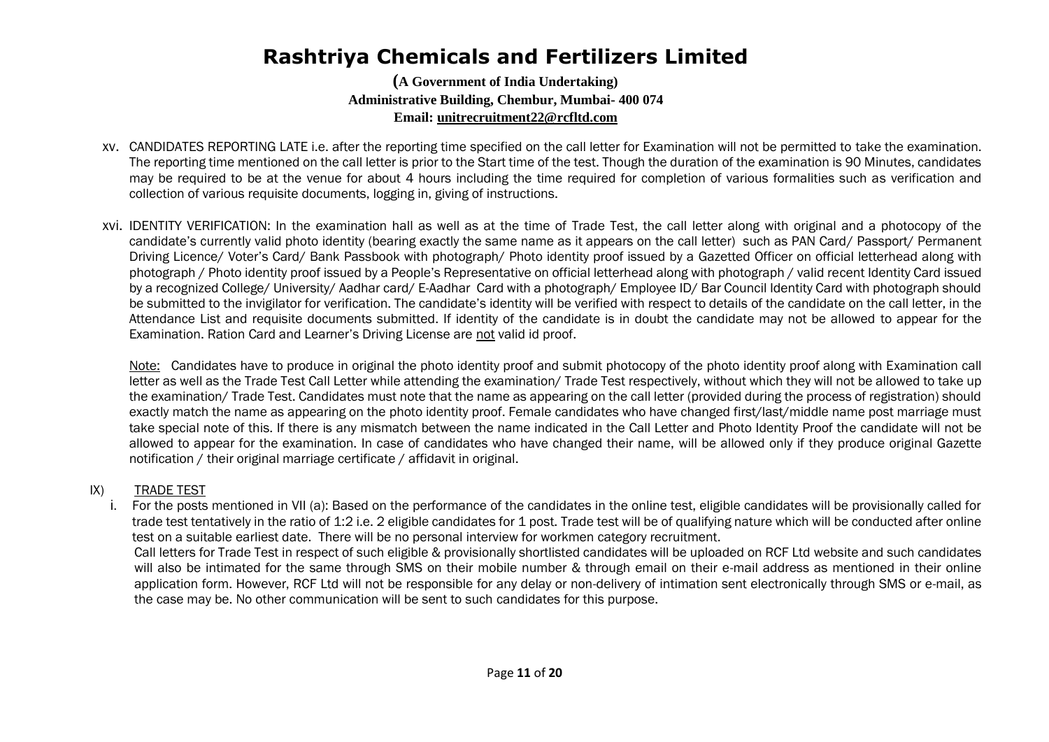**(A Government of India Undertaking) Administrative Building, Chembur, Mumbai- 400 074 Email: unitrecruitment22@rcfltd.com**

- xv. CANDIDATES REPORTING LATE i.e. after the reporting time specified on the call letter for Examination will not be permitted to take the examination. The reporting time mentioned on the call letter is prior to the Start time of the test. Though the duration of the examination is 90 Minutes, candidates may be required to be at the venue for about 4 hours including the time required for completion of various formalities such as verification and collection of various requisite documents, logging in, giving of instructions.
- xvi. IDENTITY VERIFICATION: In the examination hall as well as at the time of Trade Test, the call letter along with original and a photocopy of the candidate's currently valid photo identity (bearing exactly the same name as it appears on the call letter) such as PAN Card/ Passport/ Permanent Driving Licence/ Voter's Card/ Bank Passbook with photograph/ Photo identity proof issued by a Gazetted Officer on official letterhead along with photograph / Photo identity proof issued by a People's Representative on official letterhead along with photograph / valid recent Identity Card issued by a recognized College/ University/ Aadhar card/ E-Aadhar Card with a photograph/ Employee ID/ Bar Council Identity Card with photograph should be submitted to the invigilator for verification. The candidate's identity will be verified with respect to details of the candidate on the call letter, in the Attendance List and requisite documents submitted. If identity of the candidate is in doubt the candidate may not be allowed to appear for the Examination. Ration Card and Learner's Driving License are not valid id proof.

Note: Candidates have to produce in original the photo identity proof and submit photocopy of the photo identity proof along with Examination call letter as well as the Trade Test Call Letter while attending the examination/ Trade Test respectively, without which they will not be allowed to take up the examination/ Trade Test. Candidates must note that the name as appearing on the call letter (provided during the process of registration) should exactly match the name as appearing on the photo identity proof. Female candidates who have changed first/last/middle name post marriage must take special note of this. If there is any mismatch between the name indicated in the Call Letter and Photo Identity Proof the candidate will not be allowed to appear for the examination. In case of candidates who have changed their name, will be allowed only if they produce original Gazette notification / their original marriage certificate / affidavit in original.

### IX) TRADE TEST

i. For the posts mentioned in VII (a): Based on the performance of the candidates in the online test, eligible candidates will be provisionally called for trade test tentatively in the ratio of 1:2 i.e. 2 eligible candidates for 1 post. Trade test will be of qualifying nature which will be conducted after online test on a suitable earliest date. There will be no personal interview for workmen category recruitment.

Call letters for Trade Test in respect of such eligible & provisionally shortlisted candidates will be uploaded on RCF Ltd website and such candidates will also be intimated for the same through SMS on their mobile number & through email on their e-mail address as mentioned in their online application form. However, RCF Ltd will not be responsible for any delay or non-delivery of intimation sent electronically through SMS or e-mail, as the case may be. No other communication will be sent to such candidates for this purpose.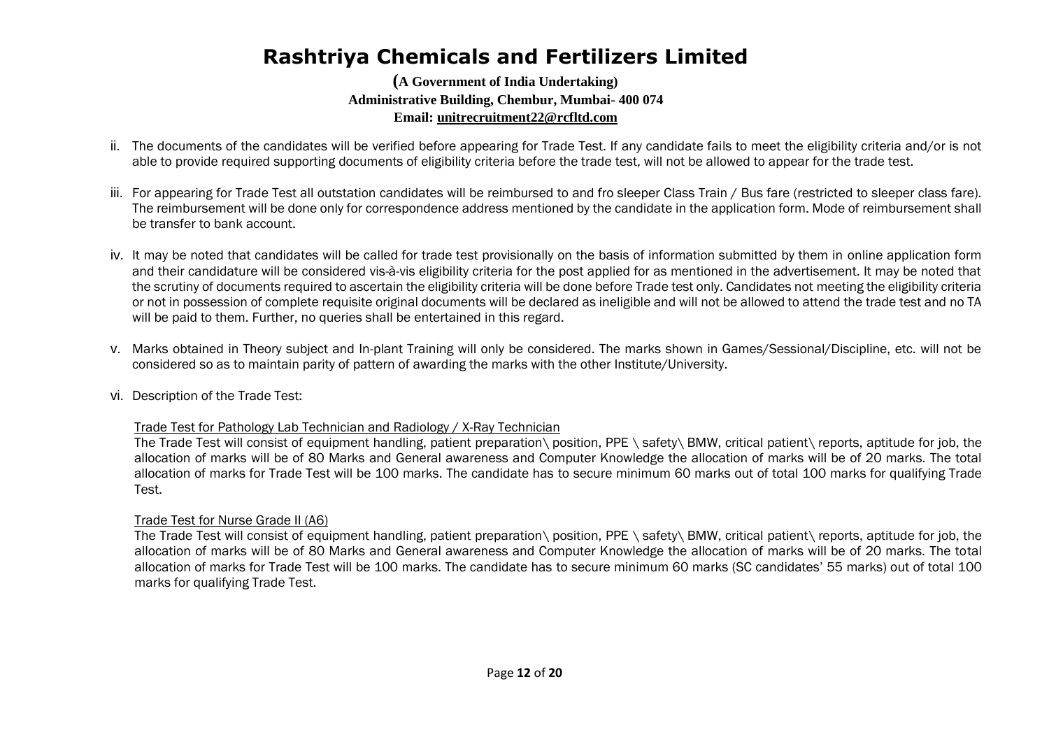### **(A Government of India Undertaking) Administrative Building, Chembur, Mumbai- 400 074 Email: unitrecruitment22@rcfltd.com**

- ii. The documents of the candidates will be verified before appearing for Trade Test. If any candidate fails to meet the eligibility criteria and/or is not able to provide required supporting documents of eligibility criteria before the trade test, will not be allowed to appear for the trade test.
- iii. For appearing for Trade Test all outstation candidates will be reimbursed to and fro sleeper Class Train / Bus fare (restricted to sleeper class fare). The reimbursement will be done only for correspondence address mentioned by the candidate in the application form. Mode of reimbursement shall be transfer to bank account.
- iv. It may be noted that candidates will be called for trade test provisionally on the basis of information submitted by them in online application form and their candidature will be considered vis-à-vis eligibility criteria for the post applied for as mentioned in the advertisement. It may be noted that the scrutiny of documents required to ascertain the eligibility criteria will be done before Trade test only. Candidates not meeting the eligibility criteria or not in possession of complete requisite original documents will be declared as ineligible and will not be allowed to attend the trade test and no TA will be paid to them. Further, no queries shall be entertained in this regard.
- v. Marks obtained in Theory subject and In-plant Training will only be considered. The marks shown in Games/Sessional/Discipline, etc. will not be considered so as to maintain parity of pattern of awarding the marks with the other Institute/University.
- vi. Description of the Trade Test:

### Trade Test for Pathology Lab Technician and Radiology / X-Ray Technician

The Trade Test will consist of equipment handling, patient preparation\ position, PPE \safety\ BMW, critical patient\ reports, aptitude for job, the allocation of marks will be of 80 Marks and General awareness and Computer Knowledge the allocation of marks will be of 20 marks. The total allocation of marks for Trade Test will be 100 marks. The candidate has to secure minimum 60 marks out of total 100 marks for qualifying Trade Test.

### Trade Test for Nurse Grade II (A6)

The Trade Test will consist of equipment handling, patient preparation\ position, PPE \safety\ BMW, critical patient\ reports, aptitude for job, the allocation of marks will be of 80 Marks and General awareness and Computer Knowledge the allocation of marks will be of 20 marks. The total allocation of marks for Trade Test will be 100 marks. The candidate has to secure minimum 60 marks (SC candidates' 55 marks) out of total 100 marks for qualifying Trade Test.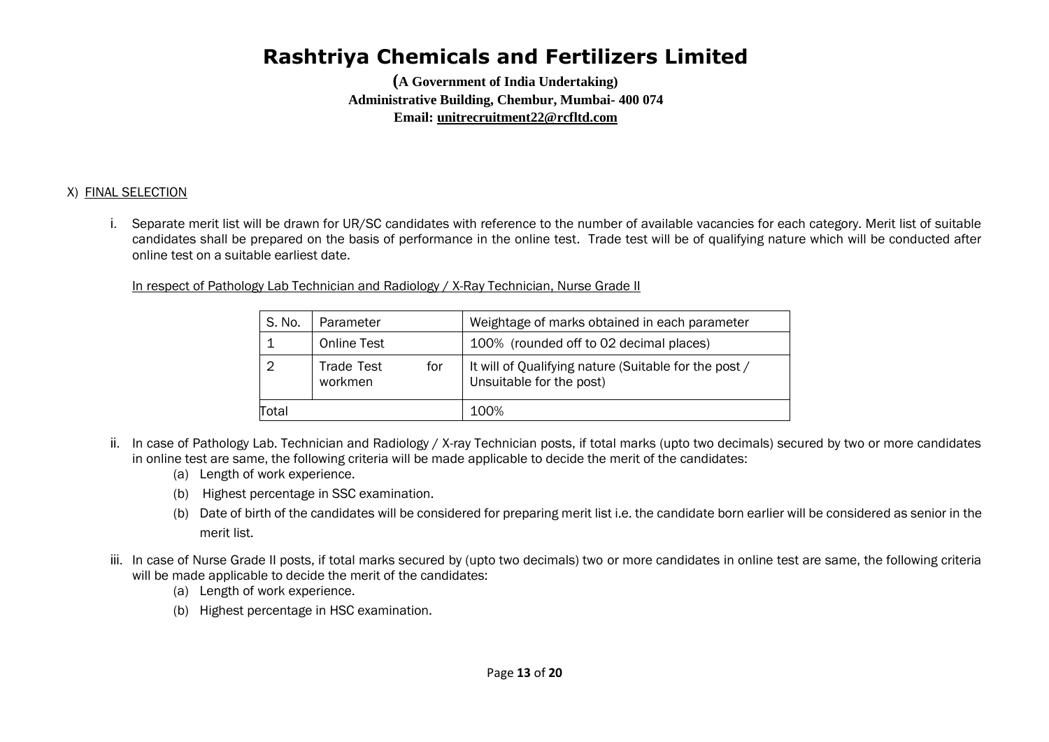**(A Government of India Undertaking) Administrative Building, Chembur, Mumbai- 400 074 Email: unitrecruitment22@rcfltd.com**

### X) FINAL SELECTION

i. Separate merit list will be drawn for UR/SC candidates with reference to the number of available vacancies for each category. Merit list of suitable candidates shall be prepared on the basis of performance in the online test. Trade test will be of qualifying nature which will be conducted after online test on a suitable earliest date.

In respect of Pathology Lab Technician and Radiology / X-Ray Technician, Nurse Grade II

| S. No. | Parameter                    | Weightage of marks obtained in each parameter                                     |
|--------|------------------------------|-----------------------------------------------------------------------------------|
|        | <b>Online Test</b>           | 100% (rounded off to 02 decimal places)                                           |
|        | Trade Test<br>for<br>workmen | It will of Qualifying nature (Suitable for the post /<br>Unsuitable for the post) |
| Total  |                              | 100%                                                                              |

- ii. In case of Pathology Lab. Technician and Radiology / X-ray Technician posts, if total marks (upto two decimals) secured by two or more candidates in online test are same, the following criteria will be made applicable to decide the merit of the candidates:
	- (a) Length of work experience.
	- (b) Highest percentage in SSC examination.
	- (b) Date of birth of the candidates will be considered for preparing merit list i.e. the candidate born earlier will be considered as senior in the merit list.
- iii. In case of Nurse Grade II posts, if total marks secured by (upto two decimals) two or more candidates in online test are same, the following criteria will be made applicable to decide the merit of the candidates:
	- (a) Length of work experience.
	- (b) Highest percentage in HSC examination.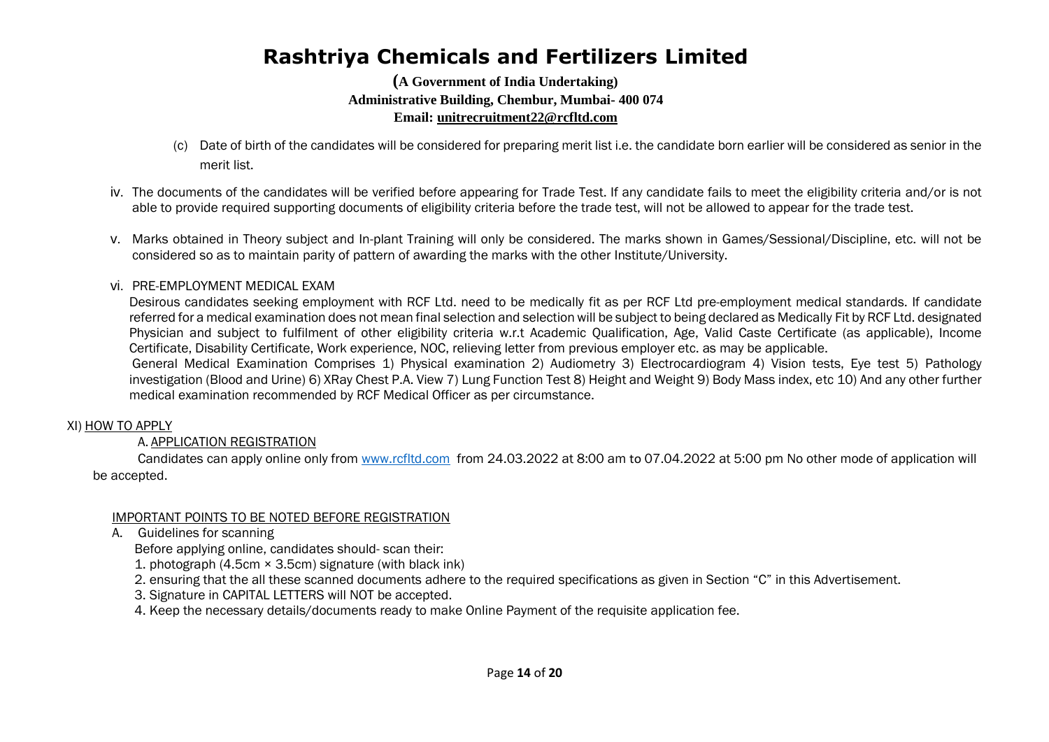### **(A Government of India Undertaking) Administrative Building, Chembur, Mumbai- 400 074 Email: unitrecruitment22@rcfltd.com**

- (c) Date of birth of the candidates will be considered for preparing merit list i.e. the candidate born earlier will be considered as senior in the merit list.
- iv. The documents of the candidates will be verified before appearing for Trade Test. If any candidate fails to meet the eligibility criteria and/or is not able to provide required supporting documents of eligibility criteria before the trade test, will not be allowed to appear for the trade test.
- v. Marks obtained in Theory subject and In-plant Training will only be considered. The marks shown in Games/Sessional/Discipline, etc. will not be considered so as to maintain parity of pattern of awarding the marks with the other Institute/University.

### vi. PRE-EMPLOYMENT MEDICAL EXAM

Desirous candidates seeking employment with RCF Ltd. need to be medically fit as per RCF Ltd pre-employment medical standards. If candidate referred for a medical examination does not mean final selection and selection will be subject to being declared as Medically Fit by RCF Ltd. designated Physician and subject to fulfilment of other eligibility criteria w.r.t Academic Qualification, Age, Valid Caste Certificate (as applicable), Income Certificate, Disability Certificate, Work experience, NOC, relieving letter from previous employer etc. as may be applicable.

General Medical Examination Comprises 1) Physical examination 2) Audiometry 3) Electrocardiogram 4) Vision tests, Eye test 5) Pathology investigation (Blood and Urine) 6) XRay Chest P.A. View 7) Lung Function Test 8) Height and Weight 9) Body Mass index, etc 10) And any other further medical examination recommended by RCF Medical Officer as per circumstance.

#### XI) HOW TO APPLY

### A. APPLICATION REGISTRATION

Candidates can apply online only from [www.rcfltd.com](http://www.rcfltd.com/) from 24.03.2022 at 8:00 am to 07.04.2022 at 5:00 pm No other mode of application will be accepted.

#### IMPORTANT POINTS TO BE NOTED BEFORE REGISTRATION

A. Guidelines for scanning

Before applying online, candidates should- scan their:

1. photograph (4.5cm × 3.5cm) signature (with black ink)

- 2. ensuring that the all these scanned documents adhere to the required specifications as given in Section "C" in this Advertisement.
- 3. Signature in CAPITAL LETTERS will NOT be accepted.

4. Keep the necessary details/documents ready to make Online Payment of the requisite application fee.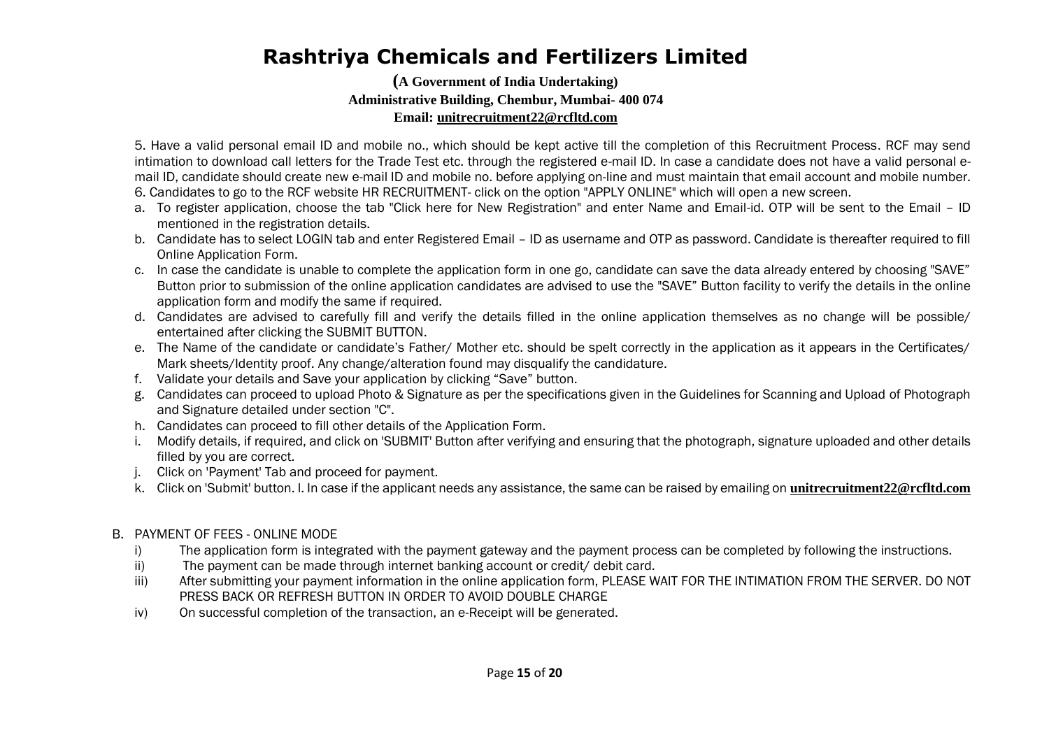### **(A Government of India Undertaking) Administrative Building, Chembur, Mumbai- 400 074 Email: unitrecruitment22@rcfltd.com**

5. Have a valid personal email ID and mobile no., which should be kept active till the completion of this Recruitment Process. RCF may send intimation to download call letters for the Trade Test etc. through the registered e-mail ID. In case a candidate does not have a valid personal email ID, candidate should create new e-mail ID and mobile no. before applying on-line and must maintain that email account and mobile number. 6. Candidates to go to the RCF website HR RECRUITMENT- click on the option "APPLY ONLINE" which will open a new screen.

- a. To register application, choose the tab "Click here for New Registration" and enter Name and Email-id. OTP will be sent to the Email ID mentioned in the registration details.
- b. Candidate has to select LOGIN tab and enter Registered Email ID as username and OTP as password. Candidate is thereafter required to fill Online Application Form.
- c. In case the candidate is unable to complete the application form in one go, candidate can save the data already entered by choosing "SAVE" Button prior to submission of the online application candidates are advised to use the "SAVE" Button facility to verify the details in the online application form and modify the same if required.
- d. Candidates are advised to carefully fill and verify the details filled in the online application themselves as no change will be possible/ entertained after clicking the SUBMIT BUTTON.
- e. The Name of the candidate or candidate's Father/ Mother etc. should be spelt correctly in the application as it appears in the Certificates/ Mark sheets/Identity proof. Any change/alteration found may disqualify the candidature.
- f. Validate your details and Save your application by clicking "Save" button.
- g. Candidates can proceed to upload Photo & Signature as per the specifications given in the Guidelines for Scanning and Upload of Photograph and Signature detailed under section "C".
- h. Candidates can proceed to fill other details of the Application Form.
- i. Modify details, if required, and click on 'SUBMIT' Button after verifying and ensuring that the photograph, signature uploaded and other details filled by you are correct.
- j. Click on 'Payment' Tab and proceed for payment.
- k. Click on 'Submit' button. l. In case if the applicant needs any assistance, the same can be raised by emailing on **unitrecruitment22@rcfltd.com**

### B. PAYMENT OF FEES - ONLINE MODE

- i) The application form is integrated with the payment gateway and the payment process can be completed by following the instructions.
- ii) The payment can be made through internet banking account or credit/ debit card.
- iii) After submitting your payment information in the online application form, PLEASE WAIT FOR THE INTIMATION FROM THE SERVER. DO NOT PRESS BACK OR REFRESH BUTTON IN ORDER TO AVOID DOUBLE CHARGE
- iv) On successful completion of the transaction, an e-Receipt will be generated.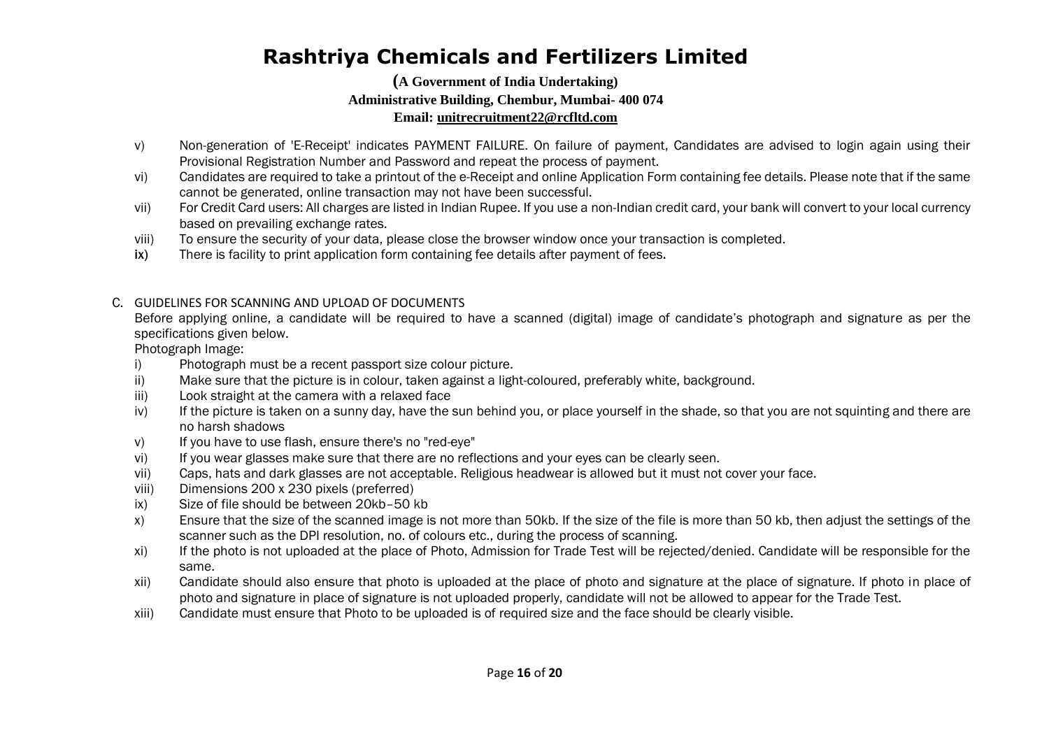### **(A Government of India Undertaking) Administrative Building, Chembur, Mumbai- 400 074 Email: unitrecruitment22@rcfltd.com**

- v) Non-generation of 'E-Receipt' indicates PAYMENT FAILURE. On failure of payment, Candidates are advised to login again using their Provisional Registration Number and Password and repeat the process of payment.
- vi) Candidates are required to take a printout of the e-Receipt and online Application Form containing fee details. Please note that if the same cannot be generated, online transaction may not have been successful.
- vii) For Credit Card users: All charges are listed in Indian Rupee. If you use a non-Indian credit card, your bank will convert to your local currency based on prevailing exchange rates.
- viii) To ensure the security of your data, please close the browser window once your transaction is completed.
- ix) There is facility to print application form containing fee details after payment of fees.

### C. GUIDELINES FOR SCANNING AND UPLOAD OF DOCUMENTS

Before applying online, a candidate will be required to have a scanned (digital) image of candidate's photograph and signature as per the specifications given below.

Photograph Image:

- i) Photograph must be a recent passport size colour picture.
- ii) Make sure that the picture is in colour, taken against a light-coloured, preferably white, background.
- iii) Look straight at the camera with a relaxed face
- iv) If the picture is taken on a sunny day, have the sun behind you, or place yourself in the shade, so that you are not squinting and there are no harsh shadows
- v) If you have to use flash, ensure there's no "red-eye"
- vi) If you wear glasses make sure that there are no reflections and your eyes can be clearly seen.
- vii) Caps, hats and dark glasses are not acceptable. Religious headwear is allowed but it must not cover your face.
- viii) Dimensions 200 x 230 pixels (preferred)
- ix) Size of file should be between 20kb–50 kb
- x) Ensure that the size of the scanned image is not more than 50kb. If the size of the file is more than 50 kb, then adjust the settings of the scanner such as the DPI resolution, no. of colours etc., during the process of scanning.
- xi) If the photo is not uploaded at the place of Photo, Admission for Trade Test will be rejected/denied. Candidate will be responsible for the same.
- xii) Candidate should also ensure that photo is uploaded at the place of photo and signature at the place of signature. If photo in place of photo and signature in place of signature is not uploaded properly, candidate will not be allowed to appear for the Trade Test.
- xiii) Candidate must ensure that Photo to be uploaded is of required size and the face should be clearly visible.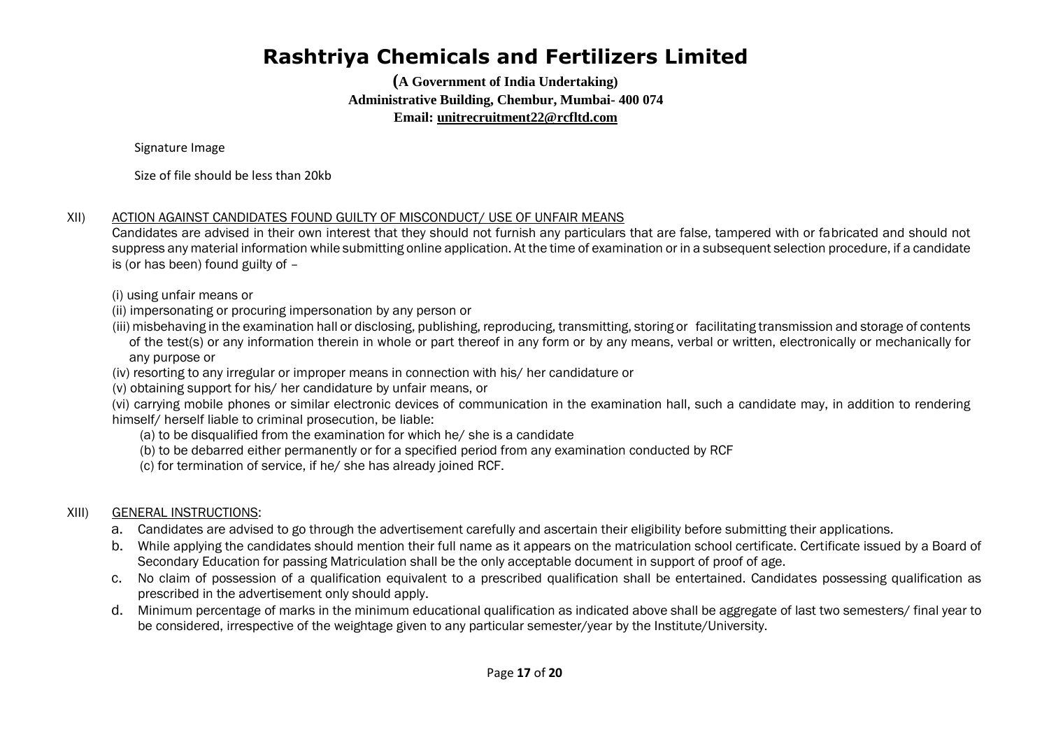**(A Government of India Undertaking) Administrative Building, Chembur, Mumbai- 400 074 Email: unitrecruitment22@rcfltd.com**

Signature Image

Size of file should be less than 20kb

#### XII) ACTION AGAINST CANDIDATES FOUND GUILTY OF MISCONDUCT/ USE OF UNFAIR MEANS

Candidates are advised in their own interest that they should not furnish any particulars that are false, tampered with or fabricated and should not suppress any material information while submitting online application. At the time of examination or in a subsequent selection procedure, if a candidate is (or has been) found guilty of –

(i) using unfair means or

(ii) impersonating or procuring impersonation by any person or

- (iii) misbehaving in the examination hall or disclosing, publishing, reproducing, transmitting, storing or facilitating transmission and storage of contents of the test(s) or any information therein in whole or part thereof in any form or by any means, verbal or written, electronically or mechanically for any purpose or
- (iv) resorting to any irregular or improper means in connection with his/ her candidature or

(v) obtaining support for his/ her candidature by unfair means, or

(vi) carrying mobile phones or similar electronic devices of communication in the examination hall, such a candidate may, in addition to rendering himself/ herself liable to criminal prosecution, be liable:

(a) to be disqualified from the examination for which he/ she is a candidate

(b) to be debarred either permanently or for a specified period from any examination conducted by RCF

(c) for termination of service, if he/ she has already joined RCF.

### XIII) GENERAL INSTRUCTIONS:

- a. Candidates are advised to go through the advertisement carefully and ascertain their eligibility before submitting their applications.
- b. While applying the candidates should mention their full name as it appears on the matriculation school certificate. Certificate issued by a Board of Secondary Education for passing Matriculation shall be the only acceptable document in support of proof of age.
- c. No claim of possession of a qualification equivalent to a prescribed qualification shall be entertained. Candidates possessing qualification as prescribed in the advertisement only should apply.
- d. Minimum percentage of marks in the minimum educational qualification as indicated above shall be aggregate of last two semesters/ final year to be considered, irrespective of the weightage given to any particular semester/year by the Institute/University.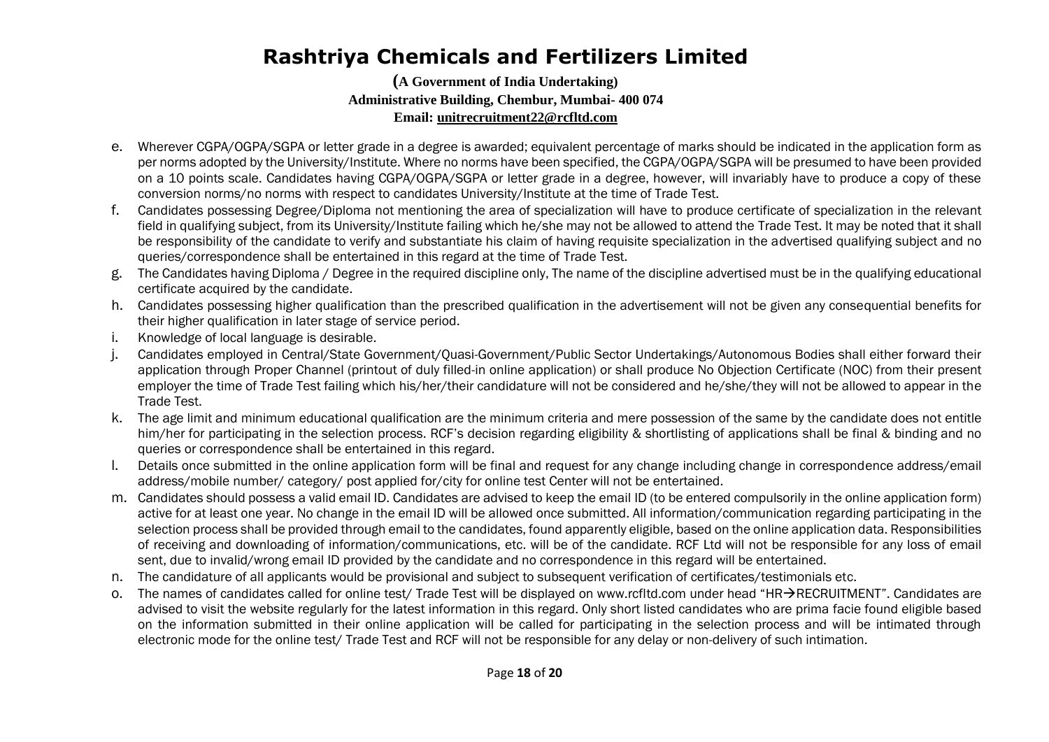- e. Wherever CGPA/OGPA/SGPA or letter grade in a degree is awarded; equivalent percentage of marks should be indicated in the application form as per norms adopted by the University/Institute. Where no norms have been specified, the CGPA/OGPA/SGPA will be presumed to have been provided on a 10 points scale. Candidates having CGPA/OGPA/SGPA or letter grade in a degree, however, will invariably have to produce a copy of these conversion norms/no norms with respect to candidates University/Institute at the time of Trade Test.
- f. Candidates possessing Degree/Diploma not mentioning the area of specialization will have to produce certificate of specialization in the relevant field in qualifying subject, from its University/Institute failing which he/she may not be allowed to attend the Trade Test. It may be noted that it shall be responsibility of the candidate to verify and substantiate his claim of having requisite specialization in the advertised qualifying subject and no queries/correspondence shall be entertained in this regard at the time of Trade Test.
- g. The Candidates having Diploma / Degree in the required discipline only, The name of the discipline advertised must be in the qualifying educational certificate acquired by the candidate.
- h. Candidates possessing higher qualification than the prescribed qualification in the advertisement will not be given any consequential benefits for their higher qualification in later stage of service period.
- i. Knowledge of local language is desirable.
- j. Candidates employed in Central/State Government/Quasi-Government/Public Sector Undertakings/Autonomous Bodies shall either forward their application through Proper Channel (printout of duly filled-in online application) or shall produce No Objection Certificate (NOC) from their present employer the time of Trade Test failing which his/her/their candidature will not be considered and he/she/they will not be allowed to appear in the Trade Test.
- k. The age limit and minimum educational qualification are the minimum criteria and mere possession of the same by the candidate does not entitle him/her for participating in the selection process. RCF's decision regarding eligibility & shortlisting of applications shall be final & binding and no queries or correspondence shall be entertained in this regard.
- l. Details once submitted in the online application form will be final and request for any change including change in correspondence address/email address/mobile number/ category/ post applied for/city for online test Center will not be entertained.
- m. Candidates should possess a valid email ID. Candidates are advised to keep the email ID (to be entered compulsorily in the online application form) active for at least one year. No change in the email ID will be allowed once submitted. All information/communication regarding participating in the selection process shall be provided through email to the candidates, found apparently eligible, based on the online application data. Responsibilities of receiving and downloading of information/communications, etc. will be of the candidate. RCF Ltd will not be responsible for any loss of email sent, due to invalid/wrong email ID provided by the candidate and no correspondence in this regard will be entertained.
- n. The candidature of all applicants would be provisional and subject to subsequent verification of certificates/testimonials etc.
- o. The names of candidates called for online test/ Trade Test will be displayed on www.rcfltd.com under head "HR->RECRUITMENT". Candidates are advised to visit the website regularly for the latest information in this regard. Only short listed candidates who are prima facie found eligible based on the information submitted in their online application will be called for participating in the selection process and will be intimated through electronic mode for the online test/ Trade Test and RCF will not be responsible for any delay or non-delivery of such intimation.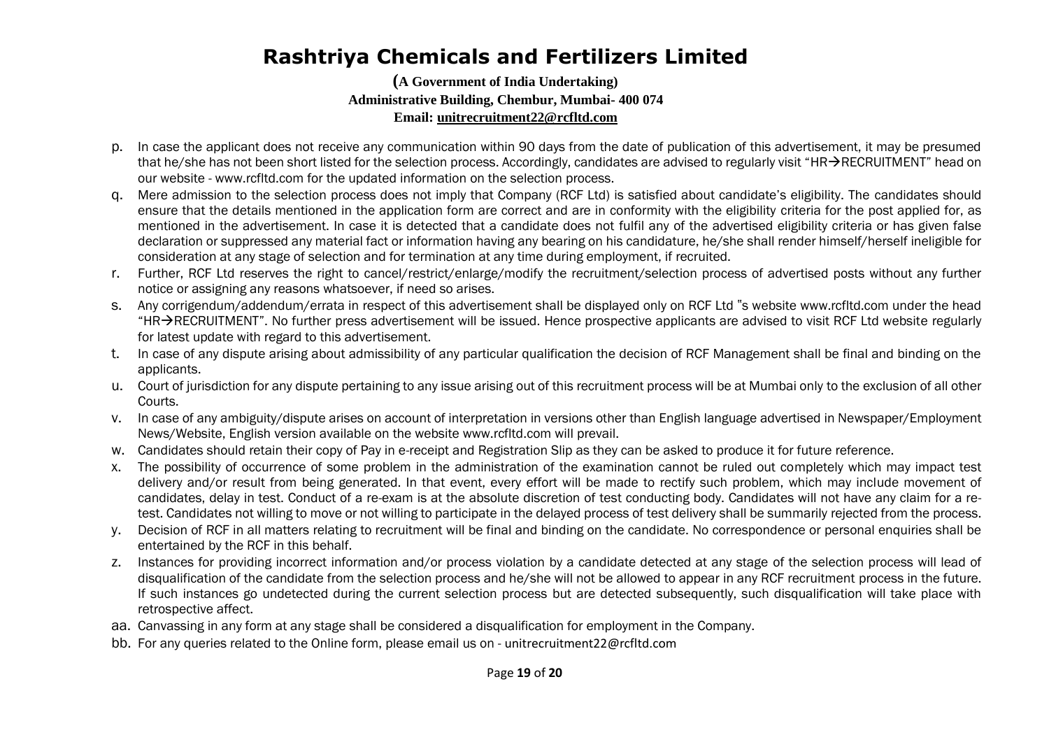- p. In case the applicant does not receive any communication within 90 days from the date of publication of this advertisement, it may be presumed that he/she has not been short listed for the selection process. Accordingly, candidates are advised to regularly visit "HR $\rightarrow$ RECRUITMENT" head on our website - www.rcfltd.com for the updated information on the selection process.
- Mere admission to the selection process does not imply that Company (RCF Ltd) is satisfied about candidate's eligibility. The candidates should ensure that the details mentioned in the application form are correct and are in conformity with the eligibility criteria for the post applied for, as mentioned in the advertisement. In case it is detected that a candidate does not fulfil any of the advertised eligibility criteria or has given false declaration or suppressed any material fact or information having any bearing on his candidature, he/she shall render himself/herself ineligible for consideration at any stage of selection and for termination at any time during employment, if recruited.
- r. Further, RCF Ltd reserves the right to cancel/restrict/enlarge/modify the recruitment/selection process of advertised posts without any further notice or assigning any reasons whatsoever, if need so arises.
- s. Any corrigendum/addendum/errata in respect of this advertisement shall be displayed only on RCF Ltd "s website www.rcfltd.com under the head "HR $\rightarrow$ RECRUITMENT". No further press advertisement will be issued. Hence prospective applicants are advised to visit RCF Ltd website regularly for latest update with regard to this advertisement.
- t. In case of any dispute arising about admissibility of any particular qualification the decision of RCF Management shall be final and binding on the applicants.
- u. Court of jurisdiction for any dispute pertaining to any issue arising out of this recruitment process will be at Mumbai only to the exclusion of all other Courts.
- v. In case of any ambiguity/dispute arises on account of interpretation in versions other than English language advertised in Newspaper/Employment News/Website, English version available on the website www.rcfltd.com will prevail.
- w. Candidates should retain their copy of Pay in e-receipt and Registration Slip as they can be asked to produce it for future reference.
- x. The possibility of occurrence of some problem in the administration of the examination cannot be ruled out completely which may impact test delivery and/or result from being generated. In that event, every effort will be made to rectify such problem, which may include movement of candidates, delay in test. Conduct of a re-exam is at the absolute discretion of test conducting body. Candidates will not have any claim for a retest. Candidates not willing to move or not willing to participate in the delayed process of test delivery shall be summarily rejected from the process.
- y. Decision of RCF in all matters relating to recruitment will be final and binding on the candidate. No correspondence or personal enquiries shall be entertained by the RCF in this behalf.
- z. Instances for providing incorrect information and/or process violation by a candidate detected at any stage of the selection process will lead of disqualification of the candidate from the selection process and he/she will not be allowed to appear in any RCF recruitment process in the future. If such instances go undetected during the current selection process but are detected subsequently, such disqualification will take place with retrospective affect.
- aa. Canvassing in any form at any stage shall be considered a disqualification for employment in the Company.
- bb. For any queries related to the Online form, please email us on unitrecruitment22@rcfltd.com